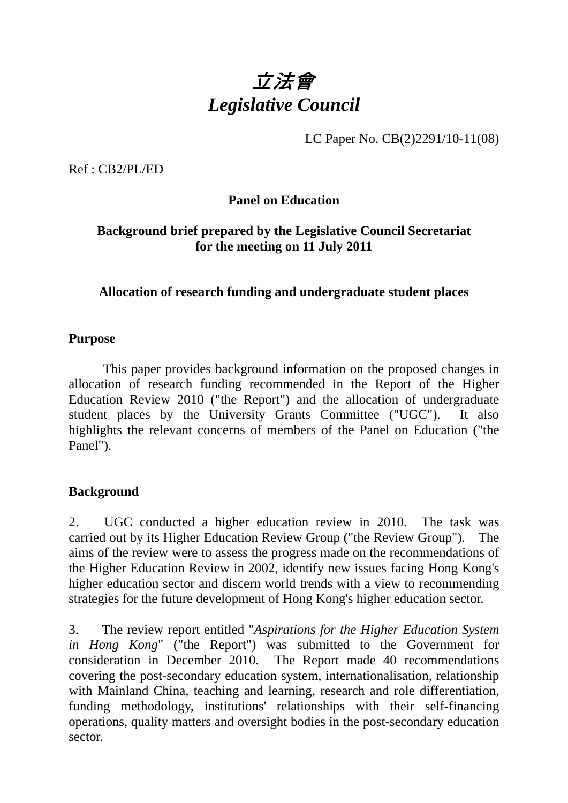# 立法會 *Legislative Council*

LC Paper No. CB(2)2291/10-11(08)

Ref : CB2/PL/ED

# **Panel on Education**

# **Background brief prepared by the Legislative Council Secretariat for the meeting on 11 July 2011**

## **Allocation of research funding and undergraduate student places**

## **Purpose**

This paper provides background information on the proposed changes in allocation of research funding recommended in the Report of the Higher Education Review 2010 ("the Report") and the allocation of undergraduate student places by the University Grants Committee ("UGC"). It also highlights the relevant concerns of members of the Panel on Education ("the Panel").

## **Background**

2.. UGC conducted a higher education review in 2010. The task was carried out by its Higher Education Review Group ("the Review Group"). The aims of the review were to assess the progress made on the recommendations of the Higher Education Review in 2002, identify new issues facing Hong Kong's higher education sector and discern world trends with a view to recommending strategies for the future development of Hong Kong's higher education sector.

3.. The review report entitled "*Aspirations for the Higher Education System in Hong Kong*" ("the Report") was submitted to the Government for consideration in December 2010. The Report made 40 recommendations covering the post-secondary education system, internationalisation, relationship with Mainland China, teaching and learning, research and role differentiation, funding methodology, institutions' relationships with their self-financing operations, quality matters and oversight bodies in the post-secondary education sector.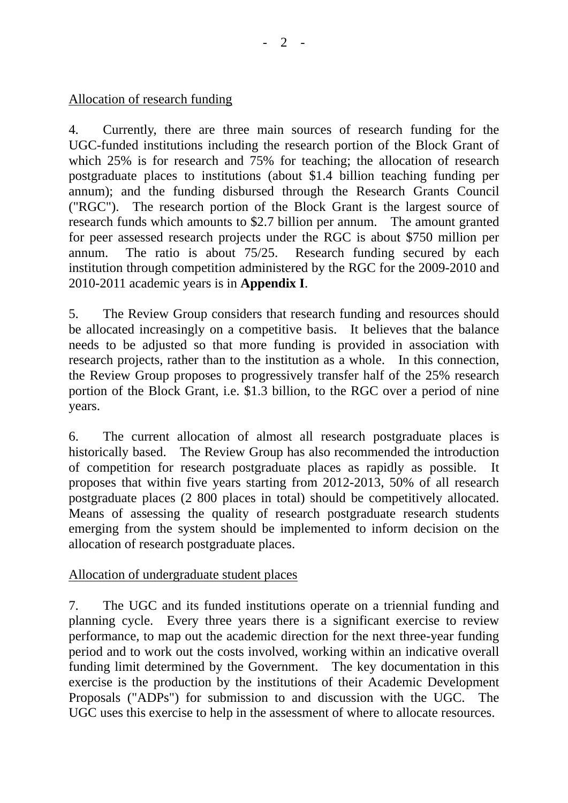## Allocation of research funding

4. Currently, there are three main sources of research funding for the UGC-funded institutions including the research portion of the Block Grant of which 25% is for research and 75% for teaching; the allocation of research postgraduate places to institutions (about \$1.4 billion teaching funding per annum); and the funding disbursed through the Research Grants Council ("RGC"). The research portion of the Block Grant is the largest source of research funds which amounts to \$2.7 billion per annum. The amount granted for peer assessed research projects under the RGC is about \$750 million per annum. The ratio is about 75/25. Research funding secured by each institution through competition administered by the RGC for the 2009-2010 and 2010-2011 academic years is in **Appendix I**.

5. The Review Group considers that research funding and resources should be allocated increasingly on a competitive basis. It believes that the balance needs to be adjusted so that more funding is provided in association with research projects, rather than to the institution as a whole. In this connection, the Review Group proposes to progressively transfer half of the 25% research portion of the Block Grant, i.e. \$1.3 billion, to the RGC over a period of nine years.

6. The current allocation of almost all research postgraduate places is historically based. The Review Group has also recommended the introduction of competition for research postgraduate places as rapidly as possible. It proposes that within five years starting from 2012-2013, 50% of all research postgraduate places (2 800 places in total) should be competitively allocated. Means of assessing the quality of research postgraduate research students emerging from the system should be implemented to inform decision on the allocation of research postgraduate places.

## Allocation of undergraduate student places

7. The UGC and its funded institutions operate on a triennial funding and planning cycle. Every three years there is a significant exercise to review performance, to map out the academic direction for the next three-year funding period and to work out the costs involved, working within an indicative overall funding limit determined by the Government. The key documentation in this exercise is the production by the institutions of their Academic Development Proposals ("ADPs") for submission to and discussion with the UGC. The UGC uses this exercise to help in the assessment of where to allocate resources.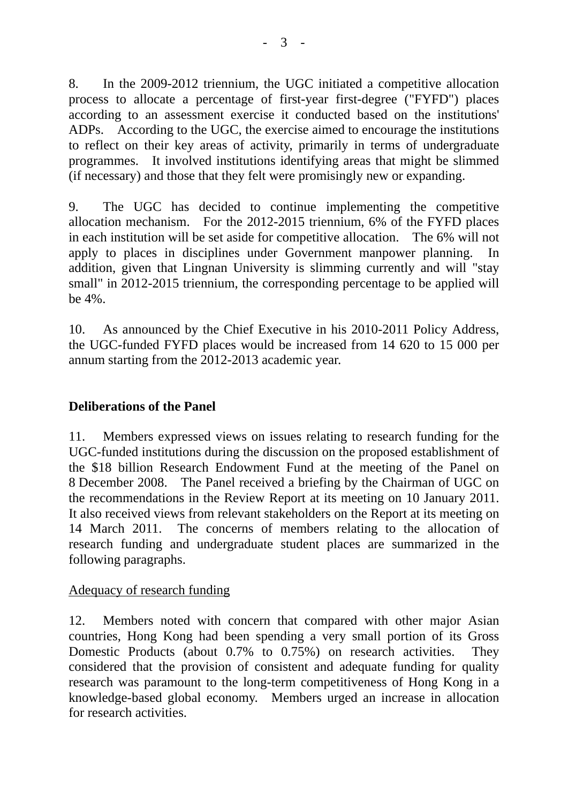8. In the 2009-2012 triennium, the UGC initiated a competitive allocation process to allocate a percentage of first-year first-degree ("FYFD") places according to an assessment exercise it conducted based on the institutions' ADPs. According to the UGC, the exercise aimed to encourage the institutions to reflect on their key areas of activity, primarily in terms of undergraduate programmes. It involved institutions identifying areas that might be slimmed (if necessary) and those that they felt were promisingly new or expanding.

9. The UGC has decided to continue implementing the competitive allocation mechanism. For the 2012-2015 triennium, 6% of the FYFD places in each institution will be set aside for competitive allocation. The 6% will not apply to places in disciplines under Government manpower planning. In addition, given that Lingnan University is slimming currently and will "stay small" in 2012-2015 triennium, the corresponding percentage to be applied will be 4%.

10. As announced by the Chief Executive in his 2010-2011 Policy Address, the UGC-funded FYFD places would be increased from 14 620 to 15 000 per annum starting from the 2012-2013 academic year.

# **Deliberations of the Panel**

11. Members expressed views on issues relating to research funding for the UGC-funded institutions during the discussion on the proposed establishment of the \$18 billion Research Endowment Fund at the meeting of the Panel on 8 December 2008. The Panel received a briefing by the Chairman of UGC on the recommendations in the Review Report at its meeting on 10 January 2011. It also received views from relevant stakeholders on the Report at its meeting on 14 March 2011. The concerns of members relating to the allocation of research funding and undergraduate student places are summarized in the following paragraphs.

#### Adequacy of research funding

12. Members noted with concern that compared with other major Asian countries, Hong Kong had been spending a very small portion of its Gross Domestic Products (about 0.7% to 0.75%) on research activities. They considered that the provision of consistent and adequate funding for quality research was paramount to the long-term competitiveness of Hong Kong in a knowledge-based global economy. Members urged an increase in allocation for research activities.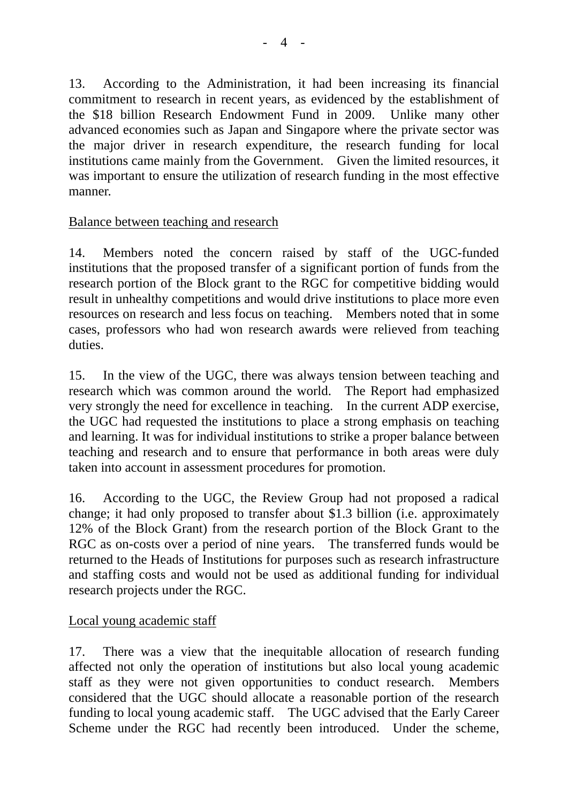13. According to the Administration, it had been increasing its financial commitment to research in recent years, as evidenced by the establishment of the \$18 billion Research Endowment Fund in 2009. Unlike many other advanced economies such as Japan and Singapore where the private sector was the major driver in research expenditure, the research funding for local institutions came mainly from the Government. Given the limited resources, it was important to ensure the utilization of research funding in the most effective manner.

### Balance between teaching and research

14. Members noted the concern raised by staff of the UGC-funded institutions that the proposed transfer of a significant portion of funds from the research portion of the Block grant to the RGC for competitive bidding would result in unhealthy competitions and would drive institutions to place more even resources on research and less focus on teaching. Members noted that in some cases, professors who had won research awards were relieved from teaching duties.

15. In the view of the UGC, there was always tension between teaching and research which was common around the world. The Report had emphasized very strongly the need for excellence in teaching. In the current ADP exercise, the UGC had requested the institutions to place a strong emphasis on teaching and learning. It was for individual institutions to strike a proper balance between teaching and research and to ensure that performance in both areas were duly taken into account in assessment procedures for promotion.

16. According to the UGC, the Review Group had not proposed a radical change; it had only proposed to transfer about \$1.3 billion (i.e. approximately 12% of the Block Grant) from the research portion of the Block Grant to the RGC as on-costs over a period of nine years. The transferred funds would be returned to the Heads of Institutions for purposes such as research infrastructure and staffing costs and would not be used as additional funding for individual research projects under the RGC.

#### Local young academic staff

17. There was a view that the inequitable allocation of research funding affected not only the operation of institutions but also local young academic staff as they were not given opportunities to conduct research. Members considered that the UGC should allocate a reasonable portion of the research funding to local young academic staff. The UGC advised that the Early Career Scheme under the RGC had recently been introduced. Under the scheme,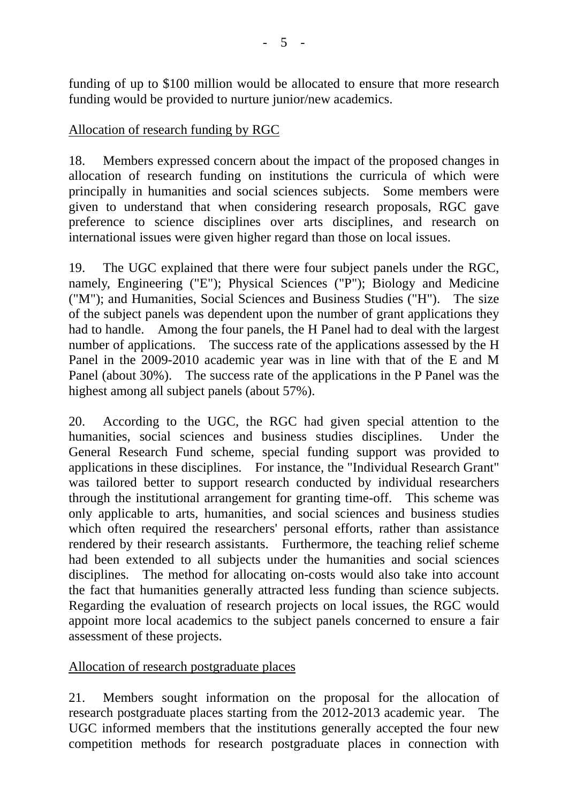funding of up to \$100 million would be allocated to ensure that more research funding would be provided to nurture junior/new academics.

## Allocation of research funding by RGC

18. Members expressed concern about the impact of the proposed changes in allocation of research funding on institutions the curricula of which were principally in humanities and social sciences subjects. Some members were given to understand that when considering research proposals, RGC gave preference to science disciplines over arts disciplines, and research on international issues were given higher regard than those on local issues.

19. The UGC explained that there were four subject panels under the RGC, namely, Engineering ("E"); Physical Sciences ("P"); Biology and Medicine ("M"); and Humanities, Social Sciences and Business Studies ("H"). The size of the subject panels was dependent upon the number of grant applications they had to handle. Among the four panels, the H Panel had to deal with the largest number of applications. The success rate of the applications assessed by the H Panel in the 2009-2010 academic year was in line with that of the E and M Panel (about 30%). The success rate of the applications in the P Panel was the highest among all subject panels (about 57%).

20. According to the UGC, the RGC had given special attention to the humanities, social sciences and business studies disciplines. Under the General Research Fund scheme, special funding support was provided to applications in these disciplines. For instance, the "Individual Research Grant" was tailored better to support research conducted by individual researchers through the institutional arrangement for granting time-off. This scheme was only applicable to arts, humanities, and social sciences and business studies which often required the researchers' personal efforts, rather than assistance rendered by their research assistants. Furthermore, the teaching relief scheme had been extended to all subjects under the humanities and social sciences disciplines. The method for allocating on-costs would also take into account the fact that humanities generally attracted less funding than science subjects. Regarding the evaluation of research projects on local issues, the RGC would appoint more local academics to the subject panels concerned to ensure a fair assessment of these projects.

#### Allocation of research postgraduate places

21. Members sought information on the proposal for the allocation of research postgraduate places starting from the 2012-2013 academic year. The UGC informed members that the institutions generally accepted the four new competition methods for research postgraduate places in connection with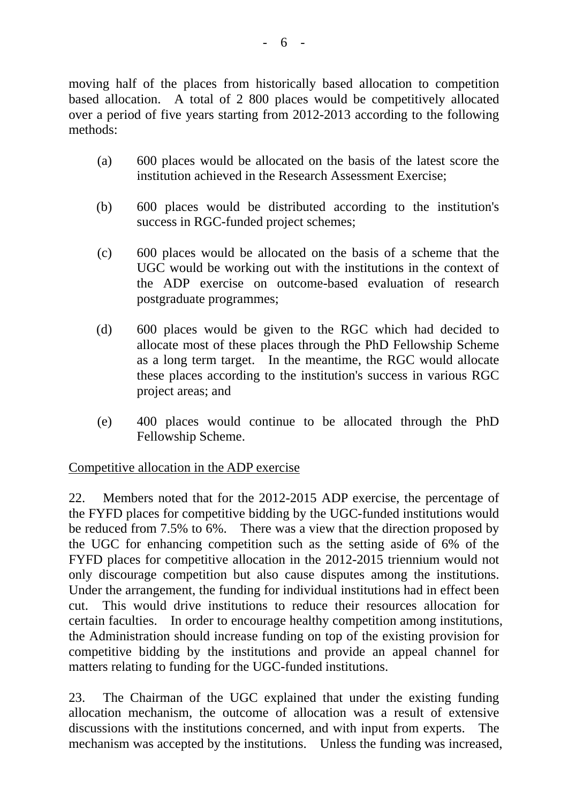moving half of the places from historically based allocation to competition based allocation. A total of 2 800 places would be competitively allocated over a period of five years starting from 2012-2013 according to the following methods:

- (a) 600 places would be allocated on the basis of the latest score the institution achieved in the Research Assessment Exercise;
- (b) 600 places would be distributed according to the institution's success in RGC-funded project schemes;
- (c) 600 places would be allocated on the basis of a scheme that the UGC would be working out with the institutions in the context of the ADP exercise on outcome-based evaluation of research postgraduate programmes;
- (d) 600 places would be given to the RGC which had decided to allocate most of these places through the PhD Fellowship Scheme as a long term target. In the meantime, the RGC would allocate these places according to the institution's success in various RGC project areas; and
- (e) 400 places would continue to be allocated through the PhD Fellowship Scheme.

Competitive allocation in the ADP exercise

22. Members noted that for the 2012-2015 ADP exercise, the percentage of the FYFD places for competitive bidding by the UGC-funded institutions would be reduced from 7.5% to 6%. There was a view that the direction proposed by the UGC for enhancing competition such as the setting aside of 6% of the FYFD places for competitive allocation in the 2012-2015 triennium would not only discourage competition but also cause disputes among the institutions. Under the arrangement, the funding for individual institutions had in effect been cut. This would drive institutions to reduce their resources allocation for certain faculties. In order to encourage healthy competition among institutions, the Administration should increase funding on top of the existing provision for competitive bidding by the institutions and provide an appeal channel for matters relating to funding for the UGC-funded institutions.

23. The Chairman of the UGC explained that under the existing funding allocation mechanism, the outcome of allocation was a result of extensive discussions with the institutions concerned, and with input from experts. The mechanism was accepted by the institutions. Unless the funding was increased,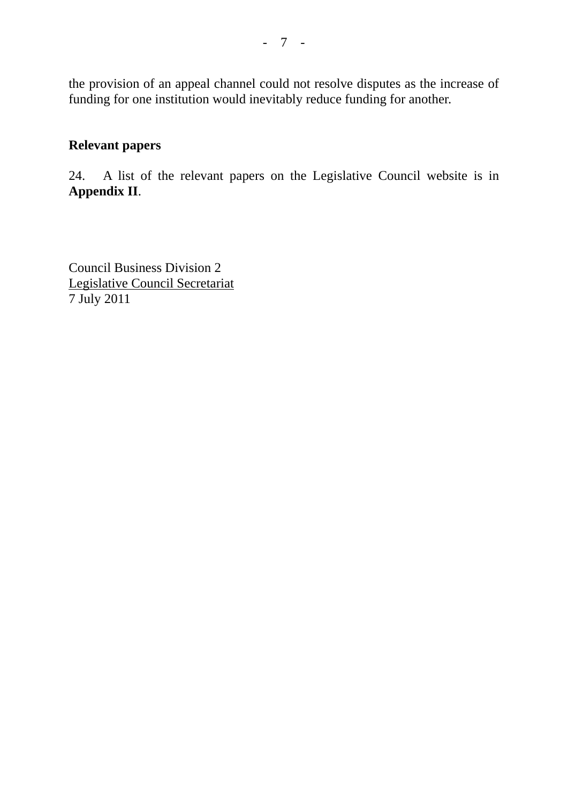the provision of an appeal channel could not resolve disputes as the increase of funding for one institution would inevitably reduce funding for another.

# **Relevant papers**

24. A list of the relevant papers on the Legislative Council website is in **Appendix II**.

Council Business Division 2 Legislative Council Secretariat 7 July 2011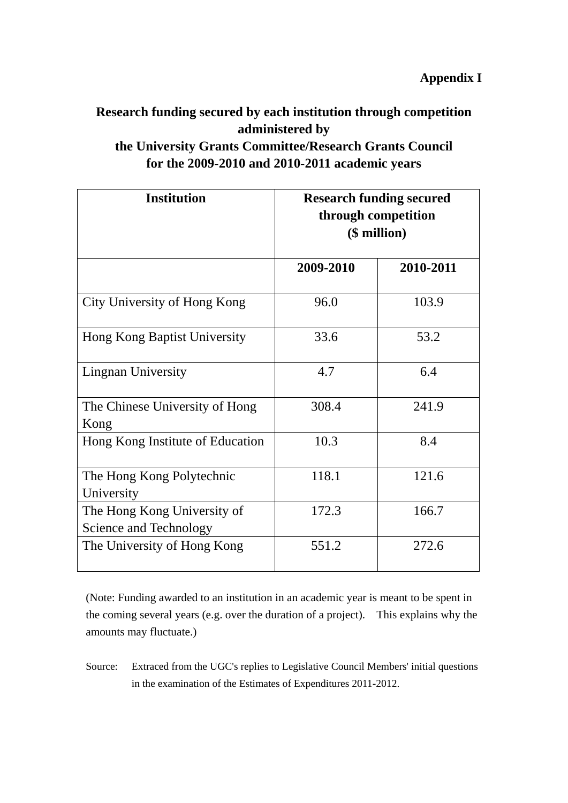# **Research funding secured by each institution through competition administered by the University Grants Committee/Research Grants Council for the 2009-2010 and 2010-2011 academic years**

| <b>Institution</b>                                    | <b>Research funding secured</b><br>through competition<br>(\$ million) |           |
|-------------------------------------------------------|------------------------------------------------------------------------|-----------|
|                                                       | 2009-2010                                                              | 2010-2011 |
| City University of Hong Kong                          | 96.0                                                                   | 103.9     |
| <b>Hong Kong Baptist University</b>                   | 33.6                                                                   | 53.2      |
| <b>Lingnan University</b>                             | 4.7                                                                    | 6.4       |
| The Chinese University of Hong<br>Kong                | 308.4                                                                  | 241.9     |
| Hong Kong Institute of Education                      | 10.3                                                                   | 8.4       |
| The Hong Kong Polytechnic<br>University               | 118.1                                                                  | 121.6     |
| The Hong Kong University of<br>Science and Technology | 172.3                                                                  | 166.7     |
| The University of Hong Kong                           | 551.2                                                                  | 272.6     |

(Note: Funding awarded to an institution in an academic year is meant to be spent in the coming several years (e.g. over the duration of a project). This explains why the amounts may fluctuate.)

Source: Extraced from the UGC's replies to Legislative Council Members' initial questions in the examination of the Estimates of Expenditures 2011-2012.